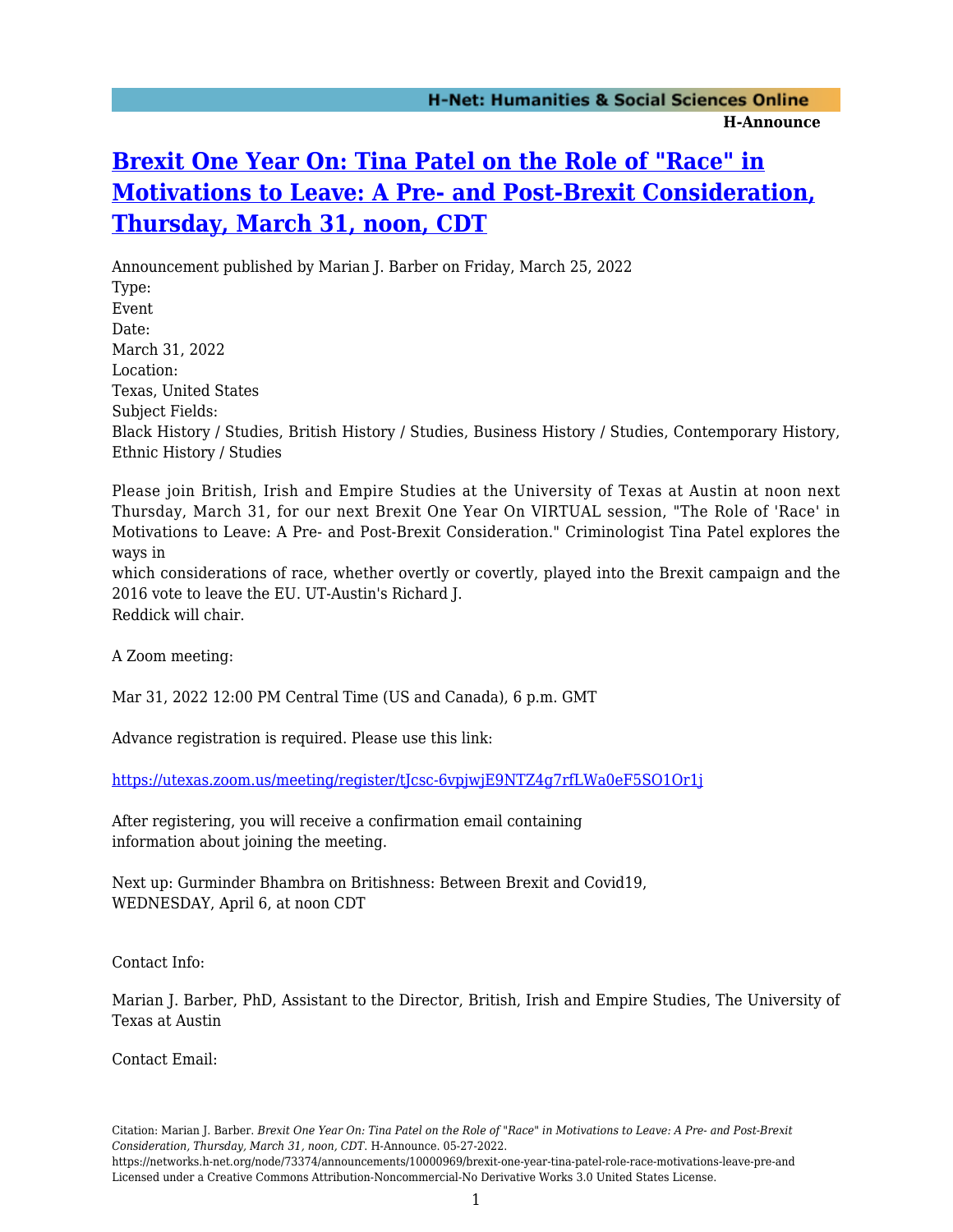## **[Brexit One Year On: Tina Patel on the Role of "Race" in](https://networks.h-net.org/node/73374/announcements/10000969/brexit-one-year-tina-patel-role-race-motivations-leave-pre-and) [Motivations to Leave: A Pre- and Post-Brexit Consideration,](https://networks.h-net.org/node/73374/announcements/10000969/brexit-one-year-tina-patel-role-race-motivations-leave-pre-and) [Thursday, March 31, noon, CDT](https://networks.h-net.org/node/73374/announcements/10000969/brexit-one-year-tina-patel-role-race-motivations-leave-pre-and)**

Announcement published by Marian J. Barber on Friday, March 25, 2022 Type: Event Date: March 31, 2022 Location: Texas, United States Subject Fields: Black History / Studies, British History / Studies, Business History / Studies, Contemporary History, Ethnic History / Studies

Please join British, Irish and Empire Studies at the University of Texas at Austin at noon next Thursday, March 31, for our next Brexit One Year On VIRTUAL session, "The Role of 'Race' in Motivations to Leave: A Pre- and Post-Brexit Consideration." Criminologist Tina Patel explores the ways in which considerations of race, whether overtly or covertly, played into the Brexit campaign and the 2016 vote to leave the EU. UT-Austin's Richard J.

Reddick will chair.

A Zoom meeting:

Mar 31, 2022 12:00 PM Central Time (US and Canada), 6 p.m. GMT

Advance registration is required. Please use this link:

<https://utexas.zoom.us/meeting/register/tJcsc-6vpjwjE9NTZ4g7rfLWa0eF5SO1Or1j>

After registering, you will receive a confirmation email containing information about joining the meeting.

Next up: Gurminder Bhambra on Britishness: Between Brexit and Covid19, WEDNESDAY, April 6, at noon CDT

Contact Info:

Marian J. Barber, PhD, Assistant to the Director, British, Irish and Empire Studies, The University of Texas at Austin

Contact Email:

Citation: Marian J. Barber. *Brexit One Year On: Tina Patel on the Role of "Race" in Motivations to Leave: A Pre- and Post-Brexit Consideration, Thursday, March 31, noon, CDT*. H-Announce. 05-27-2022.

https://networks.h-net.org/node/73374/announcements/10000969/brexit-one-year-tina-patel-role-race-motivations-leave-pre-and Licensed under a Creative Commons Attribution-Noncommercial-No Derivative Works 3.0 United States License.